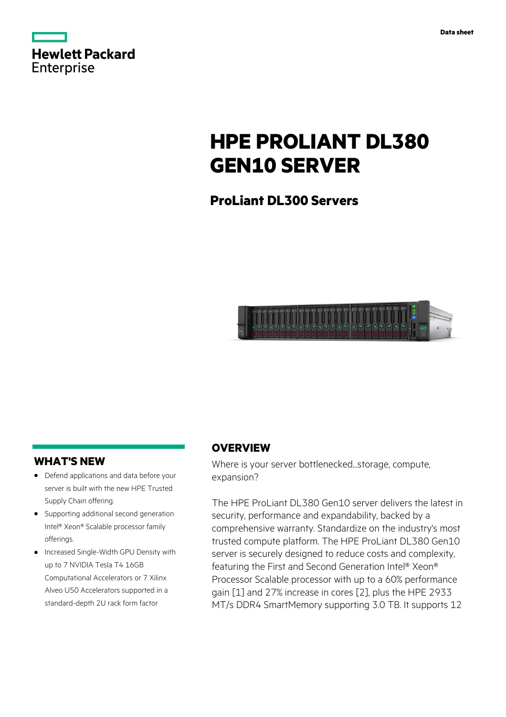|                   | <b>Hewlett Packard</b> |
|-------------------|------------------------|
| <b>Enterprise</b> |                        |

# **HPE PROLIANT DL380 GEN10 SERVER**

**ProLiant DL300 Servers**



## **WHAT'S NEW**

- **·** Defend applications and data before your server is built with the new HPE Trusted Supply Chain offering.
- **·** Supporting additional second generation Intel® Xeon® Scalable processor family offerings.
- **·** Increased Single-Width GPU Density with up to 7 NVIDIA Tesla T4 16GB Computational Accelerators or 7 Xilinx Alveo U50 Accelerators supported in a standard-depth 2U rack form factor

## **OVERVIEW**

Where is your server bottlenecked...storage, compute, expansion?

The HPE ProLiant DL380 Gen10 server delivers the latest in security, performance and expandability, backed by a comprehensive warranty. Standardize on the industry's most trusted compute platform. The HPE ProLiant DL380 Gen10 server is securely designed to reduce costs and complexity, featuring the First and Second Generation Intel® Xeon® Processor Scalable processor with up to a 60% performance gain [1] and 27% increase in cores [2], plus the HPE 2933 MT/s DDR4 SmartMemory supporting 3.0 TB. It supports 12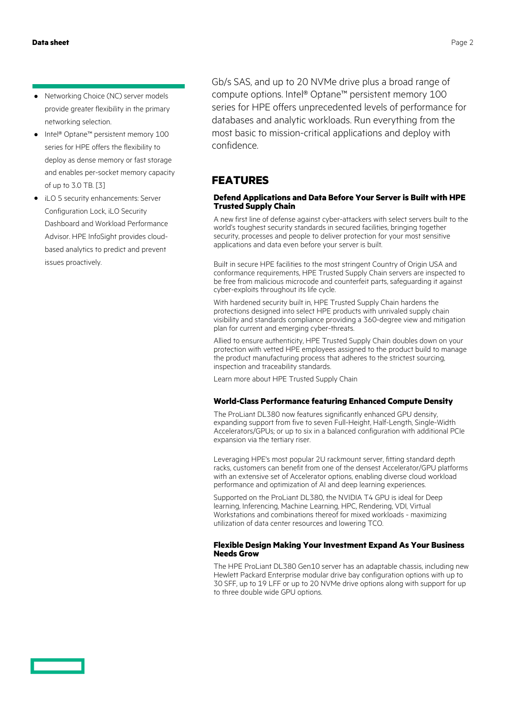- **·** Networking Choice (NC) server models provide greater flexibility in the primary networking selection.
- **·** Intel® Optane™ persistent memory 100 series for HPE offers the flexibility to deploy as dense memory or fast storage and enables per-socket memory capacity of up to 3.0 TB. [3]
- **·** iLO 5 security enhancements: Server Configuration Lock, iLO Security Dashboard and Workload Performance Advisor. HPE InfoSight provides cloudbased analytics to predict and prevent issues proactively.

Gb/s SAS, and up to 20 NVMe drive plus a broad range of compute options. Intel® Optane™ persistent memory 100 series for HPE offers unprecedented levels of performance for databases and analytic workloads. Run everything from the most basic to mission-critical applications and deploy with confidence.

## **FEATURES**

#### **Defend Applications and Data Before Your Server is Built with HPE Trusted Supply Chain**

A new first line of defense against cyber-attackers with select servers built to the world's toughest security standards in secured facilities, bringing together security, processes and people to deliver protection for your most sensitive applications and data even before your server is built.

Built in secure HPE facilities to the most stringent Country of Origin USA and conformance requirements, HPE Trusted Supply Chain servers are inspected to be free from malicious microcode and counterfeit parts, safeguarding it against cyber-exploits throughout its life cycle.

With hardened security built in, HPE Trusted Supply Chain hardens the protections designed into select HPE products with unrivaled supply chain visibility and standards compliance providing a 360-degree view and mitigation plan for current and emerging cyber-threats.

Allied to ensure authenticity, HPE Trusted Supply Chain doubles down on your protection with vetted HPE employees assigned to the product build to manage the product manufacturing process that adheres to the strictest sourcing, inspection and traceability standards.

Learn more about HPE Trusted Supply Chain

#### **World-Class Performance featuring Enhanced Compute Density**

The ProLiant DL380 now features significantly enhanced GPU density, expanding support from five to seven Full-Height, Half-Length, Single-Width Accelerators/GPUs; or up to six in a balanced configuration with additional PCIe expansion via the tertiary riser.

Leveraging HPE's most popular 2U rackmount server, fitting standard depth racks, customers can benefit from one of the densest Accelerator/GPU platforms with an extensive set of Accelerator options, enabling diverse cloud workload performance and optimization of AI and deep learning experiences.

Supported on the ProLiant DL380, the NVIDIA T4 GPU is ideal for Deep learning, Inferencing, Machine Learning, HPC, Rendering, VDI, Virtual Workstations and combinations thereof for mixed workloads - maximizing utilization of data center resources and lowering TCO.

#### **Flexible Design Making Your Investment Expand As Your Business Needs Grow**

The HPE ProLiant DL380 Gen10 server has an adaptable chassis, including new Hewlett Packard Enterprise modular drive bay configuration options with up to 30 SFF, up to 19 LFF or up to 20 NVMe drive options along with support for up to three double wide GPU options.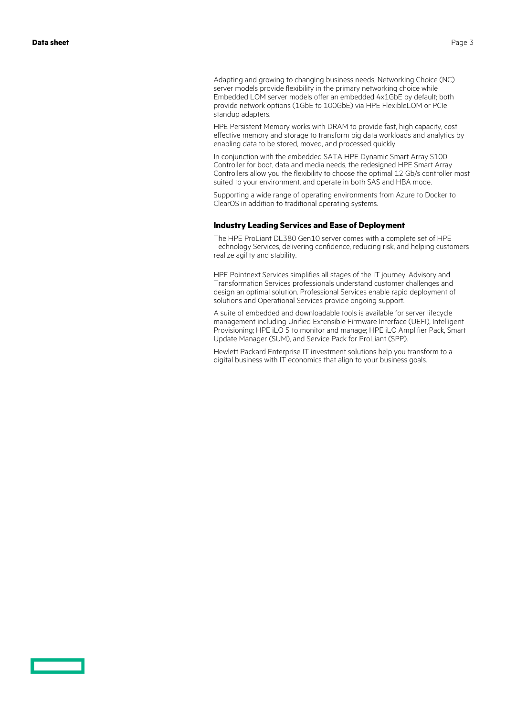Adapting and growing to changing business needs, Networking Choice (NC) server models provide flexibility in the primary networking choice while Embedded LOM server models offer an embedded 4x1GbE by default; both provide network options (1GbE to 100GbE) via HPE FlexibleLOM or PCIe standup adapters.

HPE Persistent Memory works with DRAM to provide fast, high capacity, cost effective memory and storage to transform big data workloads and analytics by enabling data to be stored, moved, and processed quickly.

In conjunction with the embedded SATA HPE Dynamic Smart Array S100i Controller for boot, data and media needs, the redesigned HPE Smart Array Controllers allow you the flexibility to choose the optimal 12 Gb/s controller most suited to your environment, and operate in both SAS and HBA mode.

Supporting a wide range of operating environments from Azure to Docker to ClearOS in addition to traditional operating systems.

#### **Industry Leading Services and Ease of Deployment**

The HPE ProLiant DL380 Gen10 server comes with a complete set of HPE Technology Services, delivering confidence, reducing risk, and helping customers realize agility and stability.

HPE Pointnext Services simplifies all stages of the IT journey. Advisory and Transformation Services professionals understand customer challenges and design an optimal solution. Professional Services enable rapid deployment of solutions and Operational Services provide ongoing support.

A suite of embedded and downloadable tools is available for server lifecycle management including Unified Extensible Firmware Interface (UEFI), Intelligent Provisioning; HPE iLO 5 to monitor and manage; HPE iLO Amplifier Pack, Smart Update Manager (SUM), and Service Pack for ProLiant (SPP).

Hewlett Packard Enterprise IT investment solutions help you transform to a digital business with IT economics that align to your business goals.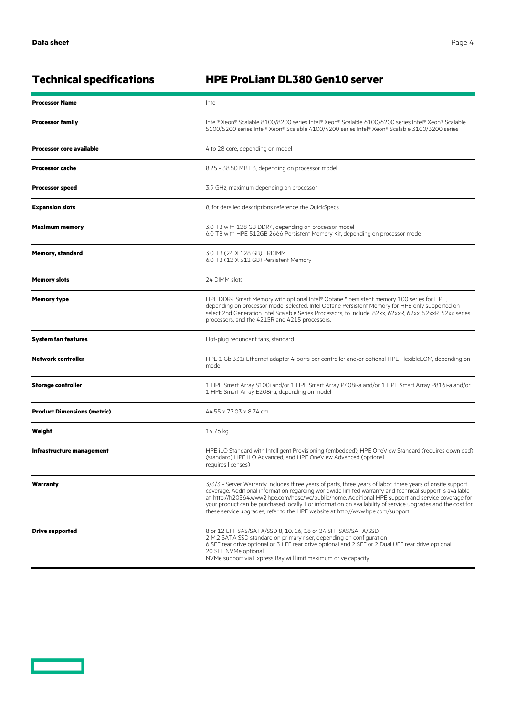$\overline{\phantom{0}}$ 

# **Technical specifications HPE ProLiant DL380 Gen10 server**

| <b>Processor Name</b>              | Intel                                                                                                                                                                                                                                                                                                                                                                                                                                                                                                                          |  |
|------------------------------------|--------------------------------------------------------------------------------------------------------------------------------------------------------------------------------------------------------------------------------------------------------------------------------------------------------------------------------------------------------------------------------------------------------------------------------------------------------------------------------------------------------------------------------|--|
| <b>Processor family</b>            | Intel® Xeon® Scalable 8100/8200 series Intel® Xeon® Scalable 6100/6200 series Intel® Xeon® Scalable<br>5100/5200 series Intel® Xeon® Scalable 4100/4200 series Intel® Xeon® Scalable 3100/3200 series                                                                                                                                                                                                                                                                                                                          |  |
| <b>Processor core available</b>    | 4 to 28 core, depending on model                                                                                                                                                                                                                                                                                                                                                                                                                                                                                               |  |
| Processor cache                    | 8.25 - 38.50 MB L3, depending on processor model                                                                                                                                                                                                                                                                                                                                                                                                                                                                               |  |
| <b>Processor speed</b>             | 3.9 GHz, maximum depending on processor                                                                                                                                                                                                                                                                                                                                                                                                                                                                                        |  |
| <b>Expansion slots</b>             | 8, for detailed descriptions reference the QuickSpecs                                                                                                                                                                                                                                                                                                                                                                                                                                                                          |  |
| <b>Maximum memory</b>              | 3.0 TB with 128 GB DDR4, depending on processor model<br>6.0 TB with HPE 512GB 2666 Persistent Memory Kit, depending on processor model                                                                                                                                                                                                                                                                                                                                                                                        |  |
| <b>Memory, standard</b>            | 3.0 TB (24 X 128 GB) LRDIMM<br>6.0 TB (12 X 512 GB) Persistent Memory                                                                                                                                                                                                                                                                                                                                                                                                                                                          |  |
| <b>Memory slots</b>                | 24 DIMM slots                                                                                                                                                                                                                                                                                                                                                                                                                                                                                                                  |  |
| <b>Memory type</b>                 | HPE DDR4 Smart Memory with optional Intel® Optane™ persistent memory 100 series for HPE,<br>depending on processor model selected. Intel Optane Persistent Memory for HPE only supported on<br>select 2nd Generation Intel Scalable Series Processors, to include: 82xx, 62xxR, 62xx, 52xxR, 52xx series<br>processors, and the 4215R and 4215 processors.                                                                                                                                                                     |  |
| <b>System fan features</b>         | Hot-plug redundant fans, standard                                                                                                                                                                                                                                                                                                                                                                                                                                                                                              |  |
| Network controller                 | HPE 1 Gb 331i Ethernet adapter 4-ports per controller and/or optional HPE FlexibleLOM, depending on<br>model                                                                                                                                                                                                                                                                                                                                                                                                                   |  |
| <b>Storage controller</b>          | 1 HPE Smart Array S100i and/or 1 HPE Smart Array P408i-a and/or 1 HPE Smart Array P816i-a and/or<br>1 HPE Smart Array E208i-a, depending on model                                                                                                                                                                                                                                                                                                                                                                              |  |
| <b>Product Dimensions (metric)</b> | 44.55 x 73.03 x 8.74 cm                                                                                                                                                                                                                                                                                                                                                                                                                                                                                                        |  |
| Weight                             | 14.76 kg                                                                                                                                                                                                                                                                                                                                                                                                                                                                                                                       |  |
| Infrastructure management          | HPE iLO Standard with Intelligent Provisioning (embedded), HPE OneView Standard (requires download)<br>(standard) HPE iLO Advanced, and HPE OneView Advanced (optional<br>requires licenses)                                                                                                                                                                                                                                                                                                                                   |  |
| Warranty                           | 3/3/3 - Server Warranty includes three years of parts, three years of labor, three years of onsite support<br>coverage. Additional information regarding worldwide limited warranty and technical support is available<br>at: http://h20564.www2.hpe.com/hpsc/wc/public/home. Additional HPE support and service coverage for<br>your product can be purchased locally. For information on availability of service upgrades and the cost for<br>these service upgrades, refer to the HPE website at http://www.hpe.com/support |  |
| <b>Drive supported</b>             | 8 or 12 LFF SAS/SATA/SSD 8, 10, 16, 18 or 24 SFF SAS/SATA/SSD<br>2 M.2 SATA SSD standard on primary riser, depending on configuration<br>6 SFF rear drive optional or 3 LFF rear drive optional and 2 SFF or 2 Dual UFF rear drive optional<br>20 SFF NVMe optional<br>NVMe support via Express Bay will limit maximum drive capacity                                                                                                                                                                                          |  |